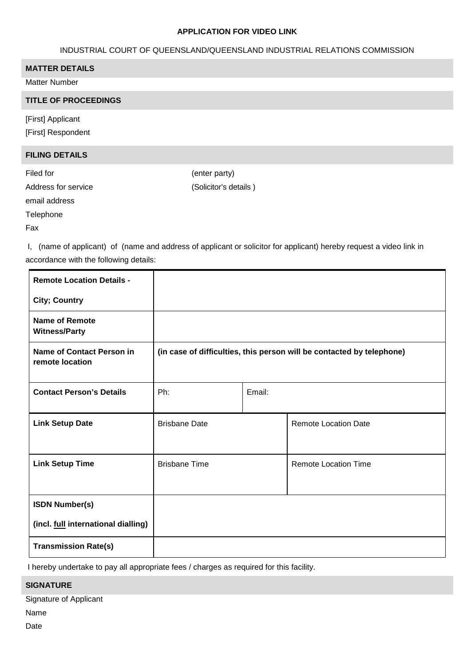### **APPLICATION FOR VIDEO LINK**

# INDUSTRIAL COURT OF QUEENSLAND/QUEENSLAND INDUSTRIAL RELATIONS COMMISSION

# **MATTER DETAILS**

Matter Number

### **TITLE OF PROCEEDINGS**

[First] Applicant [First] Respondent

### **FILING DETAILS**

Filed for  $($ enter party) Address for service (Solicitor's details )

email address

**Telephone** 

Fax

I, (name of applicant) of (name and address of applicant or solicitor for applicant) hereby request a video link in accordance with the following details:

| <b>Remote Location Details -</b>                    |                                                                       |        |                             |  |  |
|-----------------------------------------------------|-----------------------------------------------------------------------|--------|-----------------------------|--|--|
| <b>City; Country</b>                                |                                                                       |        |                             |  |  |
| <b>Name of Remote</b><br><b>Witness/Party</b>       |                                                                       |        |                             |  |  |
| <b>Name of Contact Person in</b><br>remote location | (in case of difficulties, this person will be contacted by telephone) |        |                             |  |  |
| <b>Contact Person's Details</b>                     | Ph:                                                                   | Email: |                             |  |  |
| <b>Link Setup Date</b>                              | <b>Brisbane Date</b>                                                  |        | <b>Remote Location Date</b> |  |  |
| <b>Link Setup Time</b>                              | <b>Brisbane Time</b>                                                  |        | <b>Remote Location Time</b> |  |  |
| <b>ISDN Number(s)</b>                               |                                                                       |        |                             |  |  |
| (incl. full international dialling)                 |                                                                       |        |                             |  |  |
| <b>Transmission Rate(s)</b>                         |                                                                       |        |                             |  |  |

I hereby undertake to pay all appropriate fees / charges as required for this facility.

# **SIGNATURE**

Signature of Applicant

Name

Date